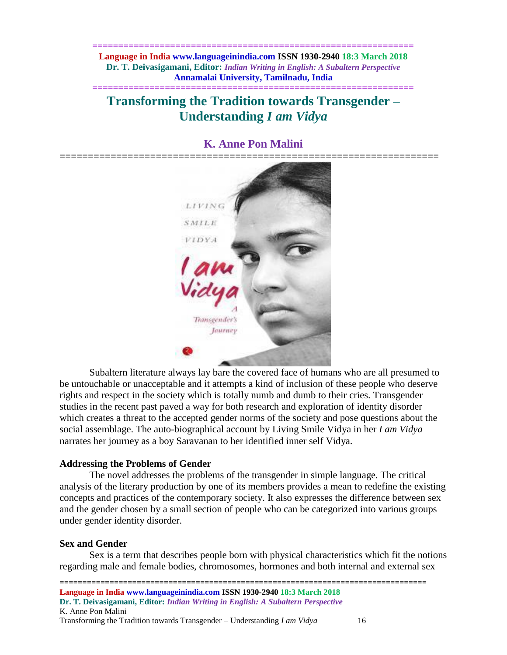**============================================================== Language in India www.languageinindia.com ISSN 1930-2940 18:3 March 2018 Dr. T. Deivasigamani, Editor:** *Indian Writing in English: A Subaltern Perspective* **Annamalai University, Tamilnadu, India**

**==============================================================**

# **Transforming the Tradition towards Transgender – Understanding** *I am Vidya*



# **K. Anne Pon Malini**

Subaltern literature always lay bare the covered face of humans who are all presumed to be untouchable or unacceptable and it attempts a kind of inclusion of these people who deserve rights and respect in the society which is totally numb and dumb to their cries. Transgender studies in the recent past paved a way for both research and exploration of identity disorder which creates a threat to the accepted gender norms of the society and pose questions about the social assemblage. The auto-biographical account by Living Smile Vidya in her *I am Vidya* narrates her journey as a boy Saravanan to her identified inner self Vidya.

# **Addressing the Problems of Gender**

The novel addresses the problems of the transgender in simple language. The critical analysis of the literary production by one of its members provides a mean to redefine the existing concepts and practices of the contemporary society. It also expresses the difference between sex and the gender chosen by a small section of people who can be categorized into various groups under gender identity disorder.

#### **Sex and Gender**

Sex is a term that describes people born with physical characteristics which fit the notions regarding male and female bodies, chromosomes, hormones and both internal and external sex

================================================================================= **Language in India www.languageinindia.com ISSN 1930-2940 18:3 March 2018 Dr. T. Deivasigamani, Editor:** *Indian Writing in English: A Subaltern Perspective* K. Anne Pon Malini Transforming the Tradition towards Transgender – Understanding *I am Vidya* 16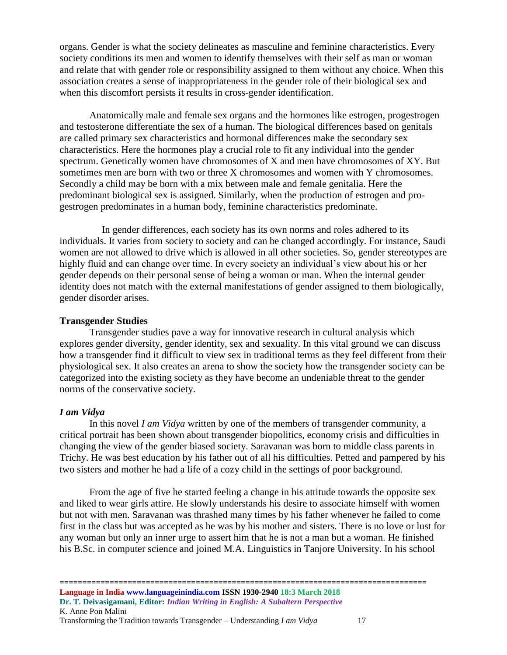organs. Gender is what the society delineates as masculine and feminine characteristics. Every society conditions its men and women to identify themselves with their self as man or woman and relate that with gender role or responsibility assigned to them without any choice. When this association creates a sense of inappropriateness in the gender role of their biological sex and when this discomfort persists it results in cross-gender identification.

Anatomically male and female sex organs and the hormones like estrogen, progestrogen and testosterone differentiate the sex of a human. The biological differences based on genitals are called primary sex characteristics and hormonal differences make the secondary sex characteristics. Here the hormones play a crucial role to fit any individual into the gender spectrum. Genetically women have chromosomes of X and men have chromosomes of XY. But sometimes men are born with two or three X chromosomes and women with Y chromosomes. Secondly a child may be born with a mix between male and female genitalia. Here the predominant biological sex is assigned. Similarly, when the production of estrogen and progestrogen predominates in a human body, feminine characteristics predominate.

 In gender differences, each society has its own norms and roles adhered to its individuals. It varies from society to society and can be changed accordingly. For instance, Saudi women are not allowed to drive which is allowed in all other societies. So, gender stereotypes are highly fluid and can change over time. In every society an individual's view about his or her gender depends on their personal sense of being a woman or man. When the internal gender identity does not match with the external manifestations of gender assigned to them biologically, gender disorder arises.

## **Transgender Studies**

Transgender studies pave a way for innovative research in cultural analysis which explores gender diversity, gender identity, sex and sexuality. In this vital ground we can discuss how a transgender find it difficult to view sex in traditional terms as they feel different from their physiological sex. It also creates an arena to show the society how the transgender society can be categorized into the existing society as they have become an undeniable threat to the gender norms of the conservative society.

# *I am Vidya*

In this novel *I am Vidya* written by one of the members of transgender community, a critical portrait has been shown about transgender biopolitics, economy crisis and difficulties in changing the view of the gender biased society. Saravanan was born to middle class parents in Trichy. He was best education by his father out of all his difficulties. Petted and pampered by his two sisters and mother he had a life of a cozy child in the settings of poor background.

From the age of five he started feeling a change in his attitude towards the opposite sex and liked to wear girls attire. He slowly understands his desire to associate himself with women but not with men. Saravanan was thrashed many times by his father whenever he failed to come first in the class but was accepted as he was by his mother and sisters. There is no love or lust for any woman but only an inner urge to assert him that he is not a man but a woman. He finished his B.Sc. in computer science and joined M.A. Linguistics in Tanjore University. In his school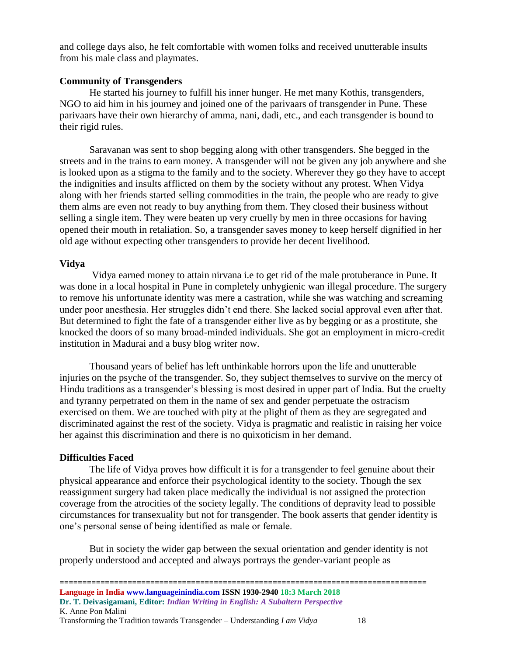and college days also, he felt comfortable with women folks and received unutterable insults from his male class and playmates.

## **Community of Transgenders**

He started his journey to fulfill his inner hunger. He met many Kothis, transgenders, NGO to aid him in his journey and joined one of the parivaars of transgender in Pune. These parivaars have their own hierarchy of amma, nani, dadi, etc., and each transgender is bound to their rigid rules.

Saravanan was sent to shop begging along with other transgenders. She begged in the streets and in the trains to earn money. A transgender will not be given any job anywhere and she is looked upon as a stigma to the family and to the society. Wherever they go they have to accept the indignities and insults afflicted on them by the society without any protest. When Vidya along with her friends started selling commodities in the train, the people who are ready to give them alms are even not ready to buy anything from them. They closed their business without selling a single item. They were beaten up very cruelly by men in three occasions for having opened their mouth in retaliation. So, a transgender saves money to keep herself dignified in her old age without expecting other transgenders to provide her decent livelihood.

#### **Vidya**

 Vidya earned money to attain nirvana i.e to get rid of the male protuberance in Pune. It was done in a local hospital in Pune in completely unhygienic wan illegal procedure. The surgery to remove his unfortunate identity was mere a castration, while she was watching and screaming under poor anesthesia. Her struggles didn't end there. She lacked social approval even after that. But determined to fight the fate of a transgender either live as by begging or as a prostitute, she knocked the doors of so many broad-minded individuals. She got an employment in micro-credit institution in Madurai and a busy blog writer now.

Thousand years of belief has left unthinkable horrors upon the life and unutterable injuries on the psyche of the transgender. So, they subject themselves to survive on the mercy of Hindu traditions as a transgender's blessing is most desired in upper part of India. But the cruelty and tyranny perpetrated on them in the name of sex and gender perpetuate the ostracism exercised on them. We are touched with pity at the plight of them as they are segregated and discriminated against the rest of the society. Vidya is pragmatic and realistic in raising her voice her against this discrimination and there is no quixoticism in her demand.

#### **Difficulties Faced**

The life of Vidya proves how difficult it is for a transgender to feel genuine about their physical appearance and enforce their psychological identity to the society. Though the sex reassignment surgery had taken place medically the individual is not assigned the protection coverage from the atrocities of the society legally. The conditions of depravity lead to possible circumstances for transexuality but not for transgender. The book asserts that gender identity is one's personal sense of being identified as male or female.

But in society the wider gap between the sexual orientation and gender identity is not properly understood and accepted and always portrays the gender-variant people as